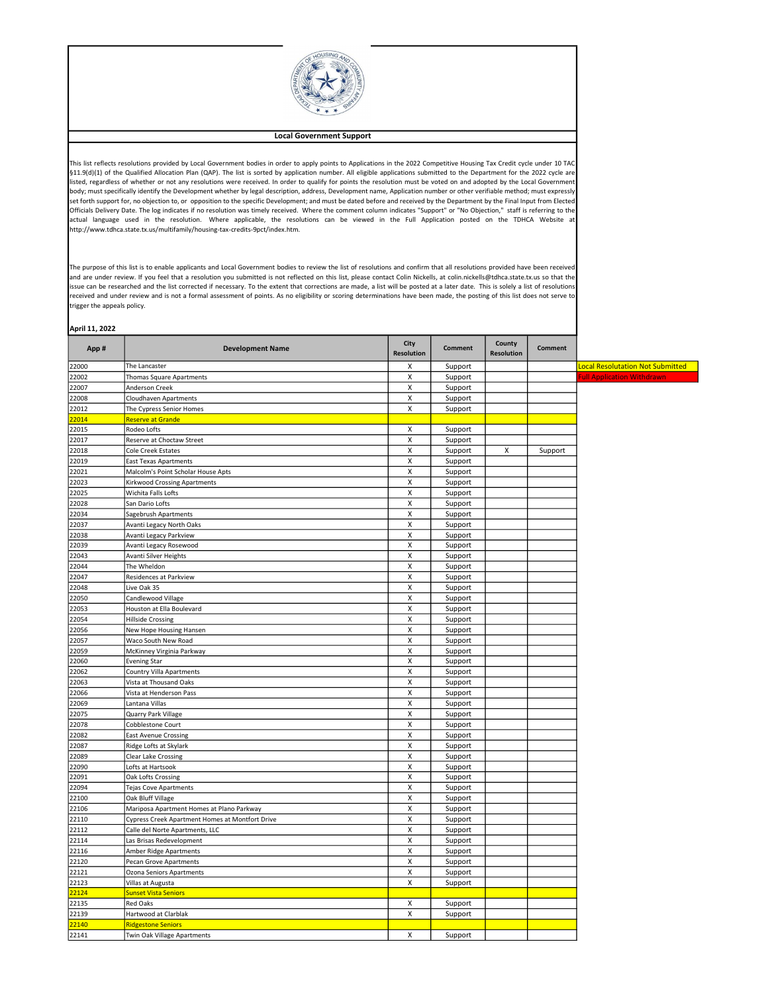

## Local Government Support

This list reflects resolutions provided by Local Government bodies in order to apply points to Applications in the 2022 Competitive Housing Tax Credit cycle under 10 TAC §11.9(d)(1) of the Qualified Allocation Plan (QAP). The list is sorted by application number. All eligible applications submitted to the Department for the 2022 cycle are listed, regardless of whether or not any resolutions were received. In order to qualify for points the resolution must be voted on and adopted by the Local Governmen body; must specifically identify the Development whether by legal description, address, Development name, Application number or other verifiable method; must expressly set forth support for, no objection to, or opposition to the specific Development; and must be dated before and received by the Department by the Final Input from Elected Officials Delivery Date. The log indicates if no resolution was timely received. Where the comment column indicates "Support" or "No Objection," staff is referring to the actual language used in the resolution. Where applicable, the resolutions can be viewed in the Full Application posted on the TDHCA Website at http://www.tdhca.state.tx.us/multifamily/housing-tax-credits-9pct/index.htm.

The purpose of this list is to enable applicants and Local Government bodies to review the list of resolutions and confirm that all resolutions provided have been received and are under review. If you feel that a resolution you submitted is not reflected on this list, please contact Colin Nickells, at colin.nickells@tdhca.state.tx.us so that the issue can be researched and the list corrected if necessary. To the extent that corrections are made, a list will be posted at a later date. This is solely a list of resolution: received and under review and is not a formal assessment of points. As no eligibility or scoring determinations have been made, the posting of this list does not serve to trigger the appeals policy.

| April 11, 2022 |                                                 |                           |                |                             |                |                                         |
|----------------|-------------------------------------------------|---------------------------|----------------|-----------------------------|----------------|-----------------------------------------|
| App#           | <b>Development Name</b>                         | City<br><b>Resolution</b> | <b>Comment</b> | County<br><b>Resolution</b> | <b>Comment</b> |                                         |
| 22000          | The Lancaster                                   | X                         | Support        |                             |                | <b>Local Resolutation Not Submitted</b> |
| 22002          | Thomas Square Apartments                        | X                         | Support        |                             |                | <b>Full Application Withdrawn</b>       |
| 22007          | Anderson Creek                                  | X                         | Support        |                             |                |                                         |
| 22008          | <b>Cloudhaven Apartments</b>                    | X                         | Support        |                             |                |                                         |
| 22012          | The Cypress Senior Homes                        | Χ                         | Support        |                             |                |                                         |
| 22014          | <b>Reserve at Grande</b>                        |                           |                |                             |                |                                         |
| 22015          | Rodeo Lofts                                     | Χ                         | Support        |                             |                |                                         |
| 22017          | Reserve at Choctaw Street                       | Χ                         | Support        |                             |                |                                         |
| 22018          | Cole Creek Estates                              | X                         | Support        | x                           | Support        |                                         |
| 22019          | <b>East Texas Apartments</b>                    | X                         | Support        |                             |                |                                         |
| 22021          | Malcolm's Point Scholar House Apts              | X                         | Support        |                             |                |                                         |
| 22023          | <b>Kirkwood Crossing Apartments</b>             | X                         | Support        |                             |                |                                         |
| 22025          | Wichita Falls Lofts                             | X                         | Support        |                             |                |                                         |
| 22028          | San Dario Lofts                                 | X                         | Support        |                             |                |                                         |
| 22034          | Sagebrush Apartments                            | X                         | Support        |                             |                |                                         |
| 22037          | Avanti Legacy North Oaks                        | X                         | Support        |                             |                |                                         |
| 22038          | Avanti Legacy Parkview                          | X                         | Support        |                             |                |                                         |
| 22039          | Avanti Legacy Rosewood                          | X                         | Support        |                             |                |                                         |
| 22043          | Avanti Silver Heights                           | X                         | Support        |                             |                |                                         |
| 22044          | The Wheldon                                     | X                         | Support        |                             |                |                                         |
| 22047          | Residences at Parkview                          | X                         | Support        |                             |                |                                         |
| 22048          | Live Oak 35                                     | X                         | Support        |                             |                |                                         |
| 22050          | Candlewood Village                              | X                         | Support        |                             |                |                                         |
| 22053          | Houston at Ella Boulevard                       | X                         | Support        |                             |                |                                         |
| 22054          | <b>Hillside Crossing</b>                        | Χ                         | Support        |                             |                |                                         |
| 22056          | New Hope Housing Hansen                         | X                         | Support        |                             |                |                                         |
| 22057          | Waco South New Road                             | X                         | Support        |                             |                |                                         |
| 22059          | McKinney Virginia Parkway                       | X                         | Support        |                             |                |                                         |
| 22060          | <b>Evening Star</b>                             | X                         | Support        |                             |                |                                         |
| 22062          | <b>Country Villa Apartments</b>                 | X                         | Support        |                             |                |                                         |
| 22063          | Vista at Thousand Oaks                          | X                         | Support        |                             |                |                                         |
| 22066          | Vista at Henderson Pass                         | X                         | Support        |                             |                |                                         |
| 22069          | Lantana Villas                                  | Χ                         | Support        |                             |                |                                         |
| 22075          | Quarry Park Village                             | $\boldsymbol{\mathsf{x}}$ | Support        |                             |                |                                         |
| 22078          | Cobblestone Court                               | X                         | Support        |                             |                |                                         |
| 22082          | <b>East Avenue Crossing</b>                     | X                         | Support        |                             |                |                                         |
| 22087          | Ridge Lofts at Skylark                          | X                         | Support        |                             |                |                                         |
| 22089          | Clear Lake Crossing                             | X                         | Support        |                             |                |                                         |
| 22090          | Lofts at Hartsook                               | X                         | Support        |                             |                |                                         |
| 22091          | Oak Lofts Crossing                              | X                         | Support        |                             |                |                                         |
| 22094          | Tejas Cove Apartments                           | X                         | Support        |                             |                |                                         |
| 22100          | Oak Bluff Village                               | X                         | Support        |                             |                |                                         |
| 22106          | Mariposa Apartment Homes at Plano Parkway       | Χ                         | Support        |                             |                |                                         |
| 22110          | Cypress Creek Apartment Homes at Montfort Drive | X                         | Support        |                             |                |                                         |
| 22112          | Calle del Norte Apartments, LLC                 | X                         | Support        |                             |                |                                         |
| 22114          | Las Brisas Redevelopment                        | X                         | Support        |                             |                |                                         |

22116 Amber Ridge Apartments X Support 22120 Pecan Grove Apartments **X** Support 22121 Ozona Seniors Apartments X Support 22123 Villas at Augusta National Augusta 22123 Villas at Augusta National Augusta 22123 Villas at Augusta 221

22135 Red Oaks Red Oaks Red Oaks Red Oaks Red Oaks Red Oaks Red Oaks Red Oaks Red Oaks Red Oaks Red Oaks Red O 22139 Hartwood at Clarblak **X** Support

**2214** Twin Oak Village Apartments **X** Support

22124 **Sunset Vista Seniors** 

**22140** Ridgestone Sen<br>22141 Twin Oak Villag